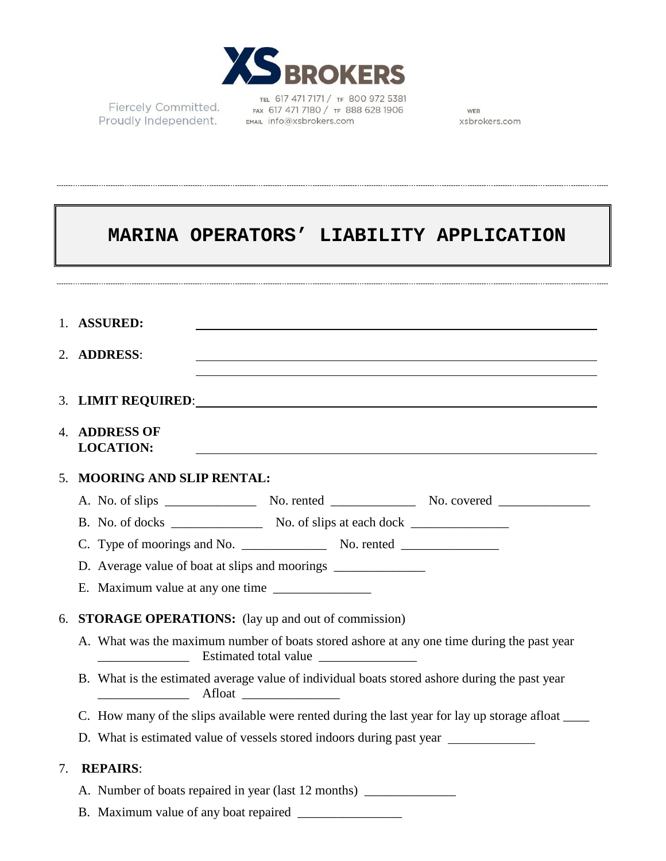

Fiercely Committed. Proudly Independent.

TEL 617 471 7171 / TF 800 972 5381 FAX 617 471 7180 / TF 888 628 1906 EMAIL info@xsbrokers.com

WEB xsbrokers.com

|    | MARINA OPERATORS' LIABILITY APPLICATION                                                                                                                        |
|----|----------------------------------------------------------------------------------------------------------------------------------------------------------------|
|    |                                                                                                                                                                |
|    | 1. ASSURED:<br>,我们也不会有一个人的人,我们也不会有一个人的人,我们也不会有一个人的人。""我们,我们也不会有一个人的人,我们也不会有一个人的人。""我们,我们也不会有一个人                                                                |
|    | 2. ADDRESS:                                                                                                                                                    |
|    |                                                                                                                                                                |
|    | <b>4. ADDRESS OF</b><br><b>LOCATION:</b>                                                                                                                       |
| 5. | <b>MOORING AND SLIP RENTAL:</b>                                                                                                                                |
|    |                                                                                                                                                                |
|    |                                                                                                                                                                |
|    |                                                                                                                                                                |
|    | D. Average value of boat at slips and moorings __________________________________                                                                              |
|    | E. Maximum value at any one time                                                                                                                               |
| 6. | STORAGE OPERATIONS: (lay up and out of commission)                                                                                                             |
|    | A. What was the maximum number of boats stored ashore at any one time during the past year<br>Estimated total value<br><u> 1990 - Johann Barbara, martin a</u> |
|    | B. What is the estimated average value of individual boats stored ashore during the past year                                                                  |
|    | C. How many of the slips available were rented during the last year for lay up storage afloat _____                                                            |
|    | D. What is estimated value of vessels stored indoors during past year ___________                                                                              |
| 7. | <b>REPAIRS:</b>                                                                                                                                                |
|    | A. Number of boats repaired in year (last 12 months) ____________________________                                                                              |
|    |                                                                                                                                                                |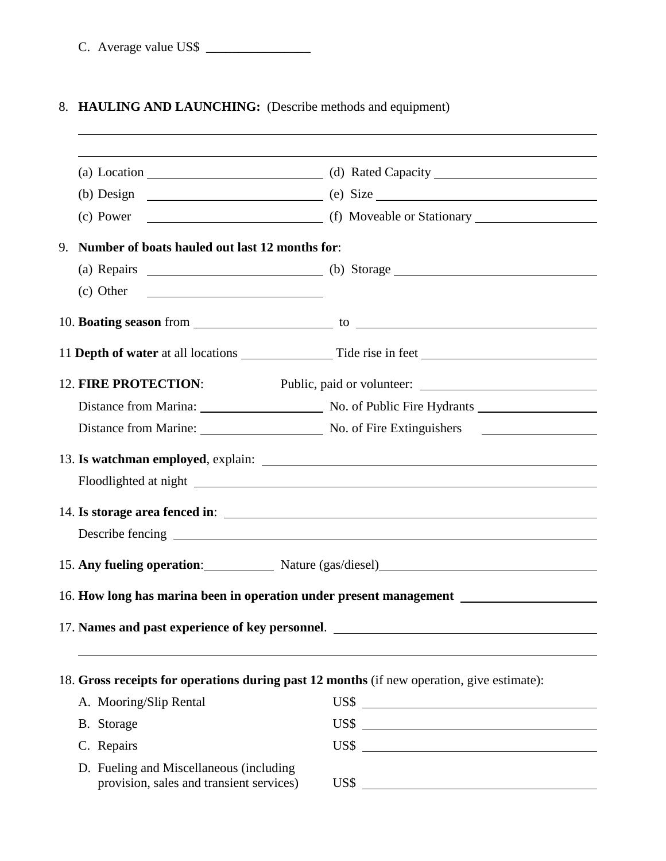C. Average value US\$ \_\_\_\_\_\_\_\_\_\_\_\_\_\_\_\_

 $\overline{a}$ 

## 8. **HAULING AND LAUNCHING:** (Describe methods and equipment)

|                                                                                            | (a) Location (a) Rated Capacity (a) Rated Capacity                        |  |  |
|--------------------------------------------------------------------------------------------|---------------------------------------------------------------------------|--|--|
|                                                                                            |                                                                           |  |  |
|                                                                                            |                                                                           |  |  |
| 9. Number of boats hauled out last 12 months for:                                          |                                                                           |  |  |
|                                                                                            | (a) Repairs $\qquad \qquad$ (b) Storage $\qquad \qquad$                   |  |  |
| $\left( \text{c} \right)$ Other                                                            |                                                                           |  |  |
|                                                                                            |                                                                           |  |  |
|                                                                                            |                                                                           |  |  |
| <b>12. FIRE PROTECTION:</b><br>Public, paid or volunteer:                                  |                                                                           |  |  |
|                                                                                            |                                                                           |  |  |
|                                                                                            | Distance from Marine: No. of Fire Extinguishers No. of Fire Extinguishers |  |  |
|                                                                                            |                                                                           |  |  |
|                                                                                            |                                                                           |  |  |
|                                                                                            |                                                                           |  |  |
|                                                                                            |                                                                           |  |  |
|                                                                                            | 15. Any fueling operation: Nature (gas/diesel) Mature (gas/diesel)        |  |  |
|                                                                                            |                                                                           |  |  |
| 17. Names and past experience of key personnel.                                            |                                                                           |  |  |
| 18. Gross receipts for operations during past 12 months (if new operation, give estimate): |                                                                           |  |  |
| A. Mooring/Slip Rental                                                                     | $\overline{\text{USS}}$                                                   |  |  |
| B. Storage                                                                                 | $\overline{USS}$                                                          |  |  |
| C. Repairs                                                                                 | $\overline{USS}$                                                          |  |  |
| D. Fueling and Miscellaneous (including<br>provision, sales and transient services)        | US\$                                                                      |  |  |